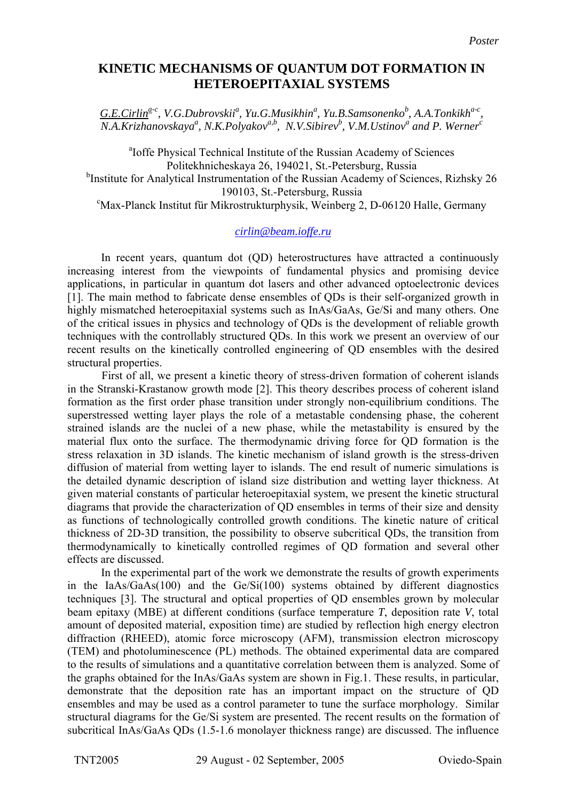## **KINETIC MECHANISMS OF QUANTUM DOT FORMATION IN HETEROEPITAXIAL SYSTEMS**

 $G.E.Cirlin<sup>a-c</sup>, V.G.Dubrovskii<sup>a</sup>, Yu.G.Musikhin<sup>a</sup>, Yu.B.Samsonenko<sup>b</sup>, A.A.Tonkikh<sup>a-c</sup>,$ *N.A.Krizhanovskaya<sup>a</sup>, N.K.Polyakov*<sup>*a,b</sup>, N.V.Sibirev<sup>b</sup>, V.M.Ustinov<sup>a</sup> and P. Werner<sup>c</sup></sup>* 

<sup>a</sup>Ioffe Physical Technical Institute of the Russian Academy of Sciences Politekhnicheskaya 26, 194021, St.-Petersburg, Russia <sup>b</sup>Institute for Analytical Instrumentation of the Russian Academy of Sciences, Rizhsky 26 190103, St.-Petersburg, Russia<br>Max-Planck Institut für Mikrostrukturphysik, Weinberg 2, D-06120 Halle, Germany

## *cirlin@beam.ioffe.ru*

 In recent years, quantum dot (QD) heterostructures have attracted a continuously increasing interest from the viewpoints of fundamental physics and promising device applications, in particular in quantum dot lasers and other advanced optoelectronic devices [1]. The main method to fabricate dense ensembles of QDs is their self-organized growth in highly mismatched heteroepitaxial systems such as InAs/GaAs, Ge/Si and many others. One of the critical issues in physics and technology of QDs is the development of reliable growth techniques with the controllably structured QDs. In this work we present an overview of our recent results on the kinetically controlled engineering of QD ensembles with the desired structural properties.

First of all, we present a kinetic theory of stress-driven formation of coherent islands in the Stranski-Krastanow growth mode [2]. This theory describes process of coherent island formation as the first order phase transition under strongly non-equilibrium conditions. The superstressed wetting layer plays the role of a metastable condensing phase, the coherent strained islands are the nuclei of a new phase, while the metastability is ensured by the material flux onto the surface. The thermodynamic driving force for QD formation is the stress relaxation in 3D islands. The kinetic mechanism of island growth is the stress-driven diffusion of material from wetting layer to islands. The end result of numeric simulations is the detailed dynamic description of island size distribution and wetting layer thickness. At given material constants of particular heteroepitaxial system, we present the kinetic structural diagrams that provide the characterization of QD ensembles in terms of their size and density as functions of technologically controlled growth conditions. The kinetic nature of critical thickness of 2D-3D transition, the possibility to observe subcritical QDs, the transition from thermodynamically to kinetically controlled regimes of QD formation and several other effects are discussed.

 In the experimental part of the work we demonstrate the results of growth experiments in the IaAs/GaAs(100) and the Ge/Si(100) systems obtained by different diagnostics techniques [3]. The structural and optical properties of QD ensembles grown by molecular beam epitaxy (MBE) at different conditions (surface temperature *T*, deposition rate *V*, total amount of deposited material, exposition time) are studied by reflection high energy electron diffraction (RHEED), atomic force microscopy (AFM), transmission electron microscopy (TEM) and photoluminescence (PL) methods. The obtained experimental data are compared to the results of simulations and a quantitative correlation between them is analyzed. Some of the graphs obtained for the InAs/GaAs system are shown in Fig.1. These results, in particular, demonstrate that the deposition rate has an important impact on the structure of QD ensembles and may be used as a control parameter to tune the surface morphology. Similar structural diagrams for the Ge/Si system are presented. The recent results on the formation of subcritical InAs/GaAs QDs (1.5-1.6 monolayer thickness range) are discussed. The influence